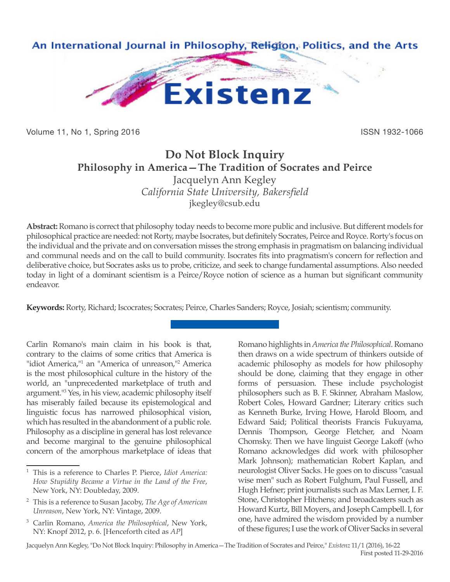

Volume 11, No 1, Spring 2016 **ISSN 1932-1066** ISSN 1932-1066

## **Do Not Block Inquiry Philosophy in America—The Tradition of Socrates and Peirce** Jacquelyn Ann Kegley *California State University, Bakersfield*

jkegley@csub.edu

**Abstract:** Romano is correct that philosophy today needs to become more public and inclusive. But different models for philosophical practice are needed: not Rorty, maybe Isocrates, but definitely Socrates, Peirce and Royce. Rorty's focus on the individual and the private and on conversation misses the strong emphasis in pragmatism on balancing individual and communal needs and on the call to build community. Isocrates fits into pragmatism's concern for reflection and deliberative choice, but Socrates asks us to probe, criticize, and seek to change fundamental assumptions. Also needed today in light of a dominant scientism is a Peirce/Royce notion of science as a human but significant community endeavor.

**Keywords:** Rorty, Richard; Iscocrates; Socrates; Peirce, Charles Sanders; Royce, Josiah; scientism; community.

Carlin Romano's main claim in his book is that, contrary to the claims of some critics that America is "idiot America,<sup>11</sup> an "America of unreason,<sup>112</sup> America is the most philosophical culture in the history of the world, an "unprecedented marketplace of truth and argument."<sup>3</sup> Yes, in his view, academic philosophy itself has miserably failed because its epistemological and linguistic focus has narrowed philosophical vision, which has resulted in the abandonment of a public role. Philosophy as a discipline in general has lost relevance and become marginal to the genuine philosophical concern of the amorphous marketplace of ideas that

Romano highlights in *America the Philosophical*. Romano then draws on a wide spectrum of thinkers outside of academic philosophy as models for how philosophy should be done, claiming that they engage in other forms of persuasion. These include psychologist philosophers such as B. F. Skinner, Abraham Maslow, Robert Coles, Howard Gardner; Literary critics such as Kenneth Burke, Irving Howe, Harold Bloom, and Edward Said; Political theorists Francis Fukuyama, Dennis Thompson, George Fletcher, and Noam Chomsky. Then we have linguist George Lakoff (who Romano acknowledges did work with philosopher Mark Johnson); mathematician Robert Kaplan, and neurologist Oliver Sacks. He goes on to discuss "casual wise men" such as Robert Fulghum, Paul Fussell, and Hugh Hefner; print journalists such as Max Lerner, I. F. Stone, Christopher Hitchens; and broadcasters such as Howard Kurtz, Bill Moyers, and Joseph Campbell. I, for one, have admired the wisdom provided by a number of these figures; I use the work of Oliver Sacks in several

Jacquelyn Ann Kegley, "Do Not Block Inquiry: Philosophy in America—The Tradition of Socrates and Peirce," *Existenz* 11/1 (2016), 16-22 First posted 11-29-2016

<sup>1</sup> This is a reference to Charles P. Pierce, *Idiot America: How Stupidity Became a Virtue in the Land of the Free*, New York, NY: Doubleday, 2009.

<sup>2</sup> This is a reference to Susan Jacoby, *The Age of American Unreason*, New York, NY: Vintage, 2009.

<sup>3</sup> Carlin Romano, *America the Philosophical*, New York, NY: Knopf 2012, p. 6. [Henceforth cited as *AP*]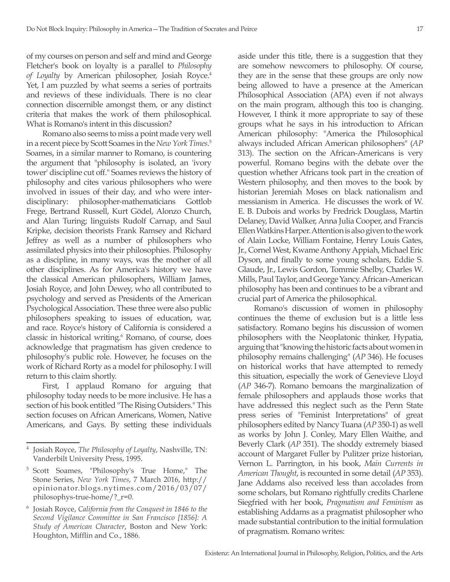of my courses on person and self and mind and George Fletcher's book on loyalty is a parallel to *Philosophy of Loyalty* by American philosopher, Josiah Royce.4 Yet, I am puzzled by what seems a series of portraits and reviews of these individuals. There is no clear connection discernible amongst them, or any distinct criteria that makes the work of them philosophical. What is Romano's intent in this discussion?

Romano also seems to miss a point made very well in a recent piece by Scott Soames in the *New York Times*. 5 Soames, in a similar manner to Romano, is countering the argument that "philosophy is isolated, an 'ivory tower' discipline cut off." Soames reviews the history of philosophy and cites various philosophers who were involved in issues of their day, and who were interdisciplinary: philosopher-mathematicians Gottlob Frege, Bertrand Russell, Kurt Gödel, Alonzo Church, and Alan Turing; linguists Rudolf Carnap, and Saul Kripke, decision theorists Frank Ramsey and Richard Jeffrey as well as a number of philosophers who assimilated physics into their philosophies. Philosophy as a discipline, in many ways, was the mother of all other disciplines. As for America's history we have the classical American philosophers, William James, Josiah Royce, and John Dewey, who all contributed to psychology and served as Presidents of the American Psychological Association. These three were also public philosophers speaking to issues of education, war, and race. Royce's history of California is considered a classic in historical writing.<sup>6</sup> Romano, of course, does acknowledge that pragmatism has given credence to philosophy's public role. However, he focuses on the work of Richard Rorty as a model for philosophy. I will return to this claim shortly.

First, I applaud Romano for arguing that philosophy today needs to be more inclusive. He has a section of his book entitled "The Rising Outsiders." This section focuses on African Americans, Women, Native Americans, and Gays. By setting these individuals aside under this title, there is a suggestion that they are somehow newcomers to philosophy. Of course, they are in the sense that these groups are only now being allowed to have a presence at the American Philosophical Association (APA) even if not always on the main program, although this too is changing. However, I think it more appropriate to say of these groups what he says in his introduction to African American philosophy: "America the Philosophical always included African American philosophers" (*AP*  313). The section on the African-Americans is very powerful. Romano begins with the debate over the question whether Africans took part in the creation of Western philosophy, and then moves to the book by historian Jeremiah Moses on black nationalism and messianism in America. He discusses the work of W. E. B. Dubois and works by Fredrick Douglass, Martin Delaney, David Walker, Anna Julia Cooper, and Francis Ellen Watkins Harper. Attention is also given to the work of Alain Locke, William Fontaine, Henry Louis Gates, Jr., Cornel West, Kwame Anthony Appiah, Michael Eric Dyson, and finally to some young scholars, Eddie S. Glaude, Jr., Lewis Gordon, Tommie Shelby, Charles W. Mills, Paul Taylor, and George Yancy. African-American philosophy has been and continues to be a vibrant and crucial part of America the philosophical.

Romano's discussion of women in philosophy continues the theme of exclusion but is a little less satisfactory. Romano begins his discussion of women philosophers with the Neoplatonic thinker, Hypatia, arguing that "knowing the historic facts about women in philosophy remains challenging" (*AP* 346). He focuses on historical works that have attempted to remedy this situation, especially the work of Genevieve Lloyd (*AP* 346-7). Romano bemoans the marginalization of female philosophers and applauds those works that have addressed this neglect such as the Penn State press series of "Feminist Interpretations" of great philosophers edited by Nancy Tuana (*AP* 350-1) as well as works by John J. Conley, Mary Ellen Waithe, and Beverly Clark (*AP* 351). The shoddy extremely biased account of Margaret Fuller by Pulitzer prize historian, Vernon L. Parrington, in his book, *Main Currents in American Thought*, is recounted in some detail (*AP* 353). Jane Addams also received less than accolades from some scholars, but Romano rightfully credits Charlene Siegfried with her book, *Pragmatism and Feminism* as establishing Addams as a pragmatist philosopher who made substantial contribution to the initial formulation of pragmatism. Romano writes:

<sup>4</sup> Josiah Royce, *The Philosophy of Loyalty*, Nashville, TN: Vanderbilt University Press, 1995.

<sup>5</sup> Scott Soames, "Philosophy's True Home," The Stone Series, *New York Times*, 7 March 2016, http:// opinionator.blogs.nytimes.com/2016/03/07/ philosophys-true-home/?\_r=0.

<sup>6</sup> Josiah Royce, *California from the Conquest in 1846 to the Second Vigilance Committee in San Francisco [1856]: A Study of American Character*, Boston and New York: Houghton, Mifflin and Co., 1886.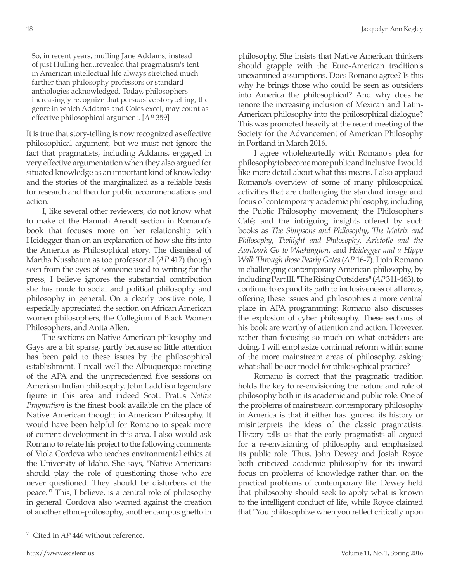So, in recent years, mulling Jane Addams, instead of just Hulling her...revealed that pragmatism's tent in American intellectual life always stretched much farther than philosophy professors or standard anthologies acknowledged. Today, philosophers increasingly recognize that persuasive storytelling, the genre in which Addams and Coles excel, may count as effective philosophical argument. [*AP* 359]

It is true that story-telling is now recognized as effective philosophical argument, but we must not ignore the fact that pragmatists, including Addams, engaged in very effective argumentation when they also argued for situated knowledge as an important kind of knowledge and the stories of the marginalized as a reliable basis for research and then for public recommendations and action.

I, like several other reviewers, do not know what to make of the Hannah Arendt section in Romano's book that focuses more on her relationship with Heidegger than on an explanation of how she fits into the America as Philosophical story. The dismissal of Martha Nussbaum as too professorial (*AP* 417) though seen from the eyes of someone used to writing for the press, I believe ignores the substantial contribution she has made to social and political philosophy and philosophy in general. On a clearly positive note, I especially appreciated the section on African American women philosophers, the Collegium of Black Women Philosophers, and Anita Allen.

The sections on Native American philosophy and Gays are a bit sparse, partly because so little attention has been paid to these issues by the philosophical establishment. I recall well the Albuquerque meeting of the APA and the unprecedented five sessions on American Indian philosophy. John Ladd is a legendary figure in this area and indeed Scott Pratt's *Native Pragmatism* is the finest book available on the place of Native American thought in American Philosophy. It would have been helpful for Romano to speak more of current development in this area. I also would ask Romano to relate his project to the following comments of Viola Cordova who teaches environmental ethics at the University of Idaho. She says, "Native Americans should play the role of questioning those who are never questioned. They should be disturbers of the peace."7 This, I believe, is a central role of philosophy in general. Cordova also warned against the creation of another ethno-philosophy, another campus ghetto in

I agree wholeheartedly with Romano's plea for philosophy to become more public and inclusive. I would like more detail about what this means. I also applaud Romano's overview of some of many philosophical activities that are challenging the standard image and focus of contemporary academic philosophy, including the Public Philosophy movement; the Philosopher's Café; and the intriguing insights offered by such books as *The Simpsons and Philosophy*, *The Matrix and Philosophy*, *Twilight and Philosophy*, *Aristotle and the Aardvark Go to Washington*, and *Heidegger and a Hippo Walk Through those Pearly Gates* (*AP* 16-7). I join Romano in challenging contemporary American philosophy, by including Part III, "The Rising Outsiders" (*AP* 311-463), to continue to expand its path to inclusiveness of all areas, offering these issues and philosophies a more central place in APA programming: Romano also discusses the explosion of cyber philosophy. These sections of his book are worthy of attention and action. However, rather than focusing so much on what outsiders are doing, I will emphasize continual reform within some of the more mainstream areas of philosophy, asking: what shall be our model for philosophical practice?

Romano is correct that the pragmatic tradition holds the key to re-envisioning the nature and role of philosophy both in its academic and public role. One of the problems of mainstream contemporary philosophy in America is that it either has ignored its history or misinterprets the ideas of the classic pragmatists. History tells us that the early pragmatists all argued for a re-envisioning of philosophy and emphasized its public role. Thus, John Dewey and Josiah Royce both criticized academic philosophy for its inward focus on problems of knowledge rather than on the practical problems of contemporary life. Dewey held that philosophy should seek to apply what is known to the intelligent conduct of life, while Royce claimed that "You philosophize when you reflect critically upon

philosophy. She insists that Native American thinkers should grapple with the Euro-American tradition's unexamined assumptions. Does Romano agree? Is this why he brings those who could be seen as outsiders into America the philosophical? And why does he ignore the increasing inclusion of Mexican and Latin-American philosophy into the philosophical dialogue? This was promoted heavily at the recent meeting of the Society for the Advancement of American Philosophy in Portland in March 2016.

Cited in *AP* 446 without reference.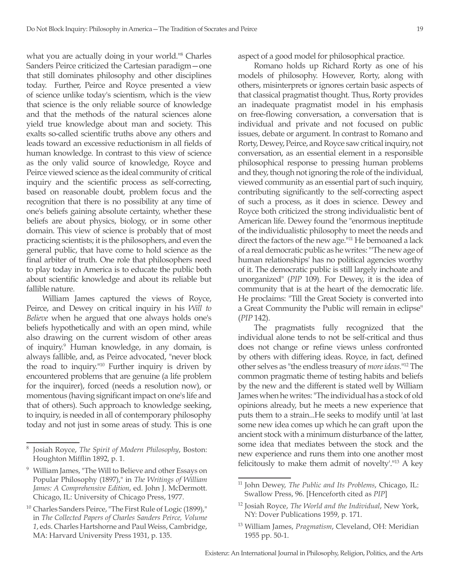what you are actually doing in your world."8 Charles Sanders Peirce criticized the Cartesian paradigm—one that still dominates philosophy and other disciplines today. Further, Peirce and Royce presented a view of science unlike today's scientism, which is the view that science is the only reliable source of knowledge and that the methods of the natural sciences alone yield true knowledge about man and society. This exalts so-called scientific truths above any others and leads toward an excessive reductionism in all fields of human knowledge. In contrast to this view of science as the only valid source of knowledge, Royce and Peirce viewed science as the ideal community of critical inquiry and the scientific process as self-correcting, based on reasonable doubt, problem focus and the recognition that there is no possibility at any time of one's beliefs gaining absolute certainty, whether these beliefs are about physics, biology, or in some other domain. This view of science is probably that of most practicing scientists; it is the philosophers, and even the general public, that have come to hold science as the final arbiter of truth. One role that philosophers need to play today in America is to educate the public both about scientific knowledge and about its reliable but fallible nature.

William James captured the views of Royce, Peirce, and Dewey on critical inquiry in his *Will to Believe* when he argued that one always holds one's beliefs hypothetically and with an open mind, while also drawing on the current wisdom of other areas of inquiry.<sup>9</sup> Human knowledge, in any domain, is always fallible, and, as Peirce advocated, "never block the road to inquiry."10 Further inquiry is driven by encountered problems that are genuine (a life problem for the inquirer), forced (needs a resolution now), or momentous (having significant impact on one's life and that of others). Such approach to knowledge seeking, to inquiry, is needed in all of contemporary philosophy today and not just in some areas of study. This is one

aspect of a good model for philosophical practice.

Romano holds up Richard Rorty as one of his models of philosophy. However, Rorty, along with others, misinterprets or ignores certain basic aspects of that classical pragmatist thought. Thus, Rorty provides an inadequate pragmatist model in his emphasis on free-flowing conversation, a conversation that is individual and private and not focused on public issues, debate or argument. In contrast to Romano and Rorty, Dewey, Peirce, and Royce saw critical inquiry, not conversation, as an essential element in a responsible philosophical response to pressing human problems and they, though not ignoring the role of the individual, viewed community as an essential part of such inquiry, contributing significantly to the self-correcting aspect of such a process, as it does in science. Dewey and Royce both criticized the strong individualistic bent of American life. Dewey found the "enormous ineptitude of the individualistic philosophy to meet the needs and direct the factors of the new age."<sup>11</sup> He bemoaned a lack of a real democratic public as he writes: "'The new age of human relationships' has no political agencies worthy of it. The democratic public is still largely inchoate and unorganized" (*PIP* 109). For Dewey, it is the idea of community that is at the heart of the democratic life. He proclaims: "Till the Great Society is converted into a Great Community the Public will remain in eclipse" (*PIP* 142).

The pragmatists fully recognized that the individual alone tends to not be self-critical and thus does not change or refine views unless confronted by others with differing ideas. Royce, in fact, defined other selves as "the endless treasury of *more ideas*."12 The common pragmatic theme of testing habits and beliefs by the new and the different is stated well by William James when he writes: "The individual has a stock of old opinions already, but he meets a new experience that puts them to a strain...He seeks to modify until 'at last some new idea comes up which he can graft upon the ancient stock with a minimum disturbance of the latter, some idea that mediates between the stock and the new experience and runs them into one another most felicitously to make them admit of novelty'."13 A key

<sup>8</sup> Josiah Royce, *The Spirit of Modern Philosophy*, Boston: Houghton Mifflin 1892, p. 1.

<sup>9</sup> William James, "The Will to Believe and other Essays on Popular Philosophy (1897)," in *The Writings of William James: A Comprehensive Edition*, ed. John J. McDermott. Chicago, IL: University of Chicago Press, 1977.

<sup>&</sup>lt;sup>10</sup> Charles Sanders Peirce, "The First Rule of Logic (1899)," in *The Collected Papers of Charles Sanders Peirce, Volume 1*, eds. Charles Hartshorne and Paul Weiss, Cambridge, MA: Harvard University Press 1931, p. 135.

<sup>11</sup> John Dewey, *The Public and Its Problems*, Chicago, IL: Swallow Press, 96. [Henceforth cited as *PIP*]

<sup>12</sup> Josiah Royce, *The World and the Individual*, New York, NY: Dover Publications 1959, p. 171.

<sup>13</sup> William James, *Pragmatism*, Cleveland, OH: Meridian 1955 pp. 50-1.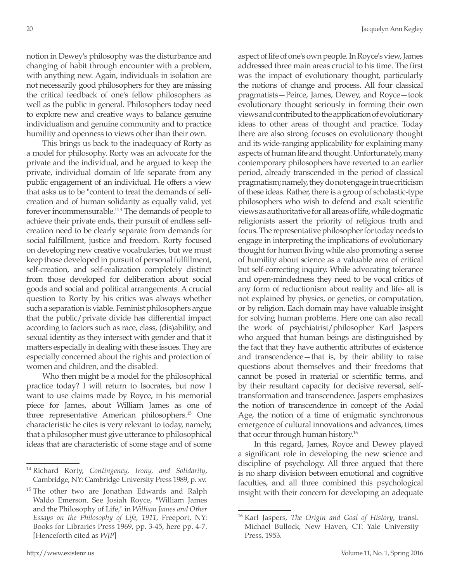notion in Dewey's philosophy was the disturbance and changing of habit through encounter with a problem, with anything new. Again, individuals in isolation are not necessarily good philosophers for they are missing the critical feedback of one's fellow philosophers as well as the public in general. Philosophers today need to explore new and creative ways to balance genuine individualism and genuine community and to practice humility and openness to views other than their own.

This brings us back to the inadequacy of Rorty as a model for philosophy. Rorty was an advocate for the private and the individual, and he argued to keep the private, individual domain of life separate from any public engagement of an individual. He offers a view that asks us to be "content to treat the demands of selfcreation and of human solidarity as equally valid, yet forever incommensurable."14 The demands of people to achieve their private ends, their pursuit of endless selfcreation need to be clearly separate from demands for social fulfillment, justice and freedom. Rorty focused on developing new creative vocabularies, but we must keep those developed in pursuit of personal fulfillment, self-creation, and self-realization completely distinct from those developed for deliberation about social goods and social and political arrangements. A crucial question to Rorty by his critics was always whether such a separation is viable. Feminist philosophers argue that the public/private divide has differential impact according to factors such as race, class, (dis)ability, and sexual identity as they intersect with gender and that it matters especially in dealing with these issues. They are especially concerned about the rights and protection of women and children, and the disabled.

Who then might be a model for the philosophical practice today? I will return to Isocrates, but now I want to use claims made by Royce, in his memorial piece for James, about William James as one of three representative American philosophers.15 One characteristic he cites is very relevant to today, namely, that a philosopher must give utterance to philosophical ideas that are characteristic of some stage and of some aspect of life of one's own people. In Royce's view, James addressed three main areas crucial to his time. The first was the impact of evolutionary thought, particularly the notions of change and process. All four classical pragmatists—Peirce, James, Dewey, and Royce—took evolutionary thought seriously in forming their own views and contributed to the application of evolutionary ideas to other areas of thought and practice. Today there are also strong focuses on evolutionary thought and its wide-ranging applicability for explaining many aspects of human life and thought. Unfortunately, many contemporary philosophers have reverted to an earlier period, already transcended in the period of classical pragmatism; namely, they do not engage in true criticism of these ideas. Rather, there is a group of scholastic-type philosophers who wish to defend and exalt scientific views as authoritative for all areas of life, while dogmatic religionists assert the priority of religious truth and focus. The representative philosopher for today needs to engage in interpreting the implications of evolutionary thought for human living while also promoting a sense of humility about science as a valuable area of critical but self-correcting inquiry. While advocating tolerance and open-mindedness they need to be vocal critics of any form of reductionism about reality and life- all is not explained by physics, or genetics, or computation, or by religion. Each domain may have valuable insight for solving human problems. Here one can also recall the work of psychiatrist/philosopher Karl Jaspers who argued that human beings are distinguished by the fact that they have authentic attributes of existence and transcendence—that is, by their ability to raise questions about themselves and their freedoms that cannot be posed in material or scientific terms, and by their resultant capacity for decisive reversal, selftransformation and transcendence. Jaspers emphasizes the notion of transcendence in concept of the Axial Age, the notion of a time of enigmatic synchronous emergence of cultural innovations and advances, times that occur through human history.<sup>16</sup>

In this regard, James, Royce and Dewey played a significant role in developing the new science and discipline of psychology. All three argued that there is no sharp division between emotional and cognitive faculties, and all three combined this psychological insight with their concern for developing an adequate

<sup>14</sup> Richard Rorty, *Contingency, Irony, and Solidarity*, Cambridge, NY: Cambridge University Press 1989, p. xv.

<sup>&</sup>lt;sup>15</sup> The other two are Jonathan Edwards and Ralph Waldo Emerson. See Josiah Royce, "William James and the Philosophy of Life," in *William James and Other Essays on the Philosophy of Life, 1911*, Freeport, NY: Books for Libraries Press 1969, pp. 3-45, here pp. 4-7. [Henceforth cited as *WJP*]

<sup>16</sup> Karl Jaspers, *The Origin and Goal of History*, transl. Michael Bullock, New Haven, CT: Yale University Press, 1953.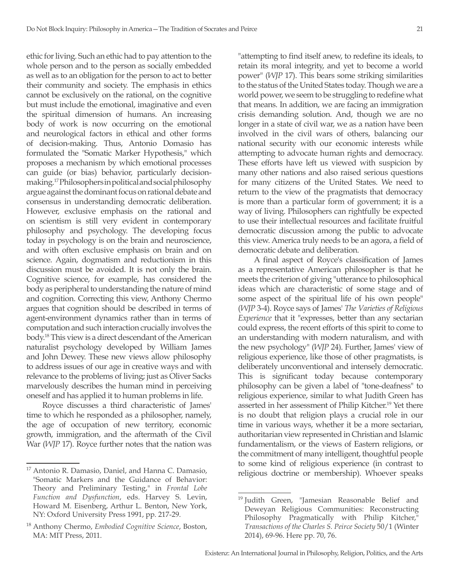ethic for living. Such an ethic had to pay attention to the whole person and to the person as socially embedded as well as to an obligation for the person to act to better their community and society. The emphasis in ethics cannot be exclusively on the rational, on the cognitive but must include the emotional, imaginative and even the spiritual dimension of humans. An increasing body of work is now occurring on the emotional and neurological factors in ethical and other forms of decision-making. Thus, Antonio Domasio has formulated the "Somatic Marker Hypothesis," which proposes a mechanism by which emotional processes can guide (or bias) behavior, particularly decisionmaking.17 Philosophers in political and social philosophy argue against the dominant focus on rational debate and consensus in understanding democratic deliberation. However, exclusive emphasis on the rational and on scientism is still very evident in contemporary philosophy and psychology. The developing focus today in psychology is on the brain and neuroscience, and with often exclusive emphasis on brain and on science. Again, dogmatism and reductionism in this discussion must be avoided. It is not only the brain. Cognitive science, for example, has considered the body as peripheral to understanding the nature of mind and cognition. Correcting this view, Anthony Chermo argues that cognition should be described in terms of agent-environment dynamics rather than in terms of computation and such interaction crucially involves the body.<sup>18</sup> This view is a direct descendant of the American naturalist psychology developed by William James and John Dewey. These new views allow philosophy to address issues of our age in creative ways and with relevance to the problems of living; just as Oliver Sacks marvelously describes the human mind in perceiving oneself and has applied it to human problems in life.

Royce discusses a third characteristic of James' time to which he responded as a philosopher, namely, the age of occupation of new territory, economic growth, immigration, and the aftermath of the Civil War (*WJP* 17). Royce further notes that the nation was

"attempting to find itself anew, to redefine its ideals, to retain its moral integrity, and yet to become a world power" (*WJP* 17). This bears some striking similarities to the status of the United States today. Though we are a world power, we seem to be struggling to redefine what that means. In addition, we are facing an immigration crisis demanding solution. And, though we are no longer in a state of civil war, we as a nation have been involved in the civil wars of others, balancing our national security with our economic interests while attempting to advocate human rights and democracy. These efforts have left us viewed with suspicion by many other nations and also raised serious questions for many citizens of the United States. We need to return to the view of the pragmatists that democracy is more than a particular form of government; it is a way of living. Philosophers can rightfully be expected to use their intellectual resources and facilitate fruitful democratic discussion among the public to advocate this view. America truly needs to be an agora, a field of democratic debate and deliberation.

A final aspect of Royce's classification of James as a representative American philosopher is that he meets the criterion of giving "utterance to philosophical ideas which are characteristic of some stage and of some aspect of the spiritual life of his own people" (*WJP* 3-4). Royce says of James' *The Varieties of Religious Experience* that it "expresses, better than any sectarian could express, the recent efforts of this spirit to come to an understanding with modern naturalism, and with the new psychology" (*WJP* 24). Further, James' view of religious experience, like those of other pragmatists, is deliberately unconventional and intensely democratic. This is significant today because contemporary philosophy can be given a label of "tone-deafness" to religious experience, similar to what Judith Green has asserted in her assessment of Philip Kitcher.19 Yet there is no doubt that religion plays a crucial role in our time in various ways, whether it be a more sectarian, authoritarian view represented in Christian and Islamic fundamentalism, or the views of Eastern religions, or the commitment of many intelligent, thoughtful people to some kind of religious experience (in contrast to religious doctrine or membership). Whoever speaks

<sup>&</sup>lt;sup>17</sup> Antonio R. Damasio, Daniel, and Hanna C. Damasio, "Somatic Markers and the Guidance of Behavior: Theory and Preliminary Testing," in *Frontal Lobe Function and Dysfunction*, eds. Harvey S. Levin, Howard M. Eisenberg, Arthur L. Benton, New York, NY: Oxford University Press 1991, pp. 217-29.

<sup>18</sup> Anthony Chermo, *Embodied Cognitive Science*, Boston, MA: MIT Press, 2011.

<sup>&</sup>lt;sup>19</sup> Judith Green, "Jamesian Reasonable Belief and Deweyan Religious Communities: Reconstructing Philosophy Pragmatically with Philip Kitcher," *Transactions of the Charles S. Peirce Society* 50/1 (Winter 2014), 69-96. Here pp. 70, 76.